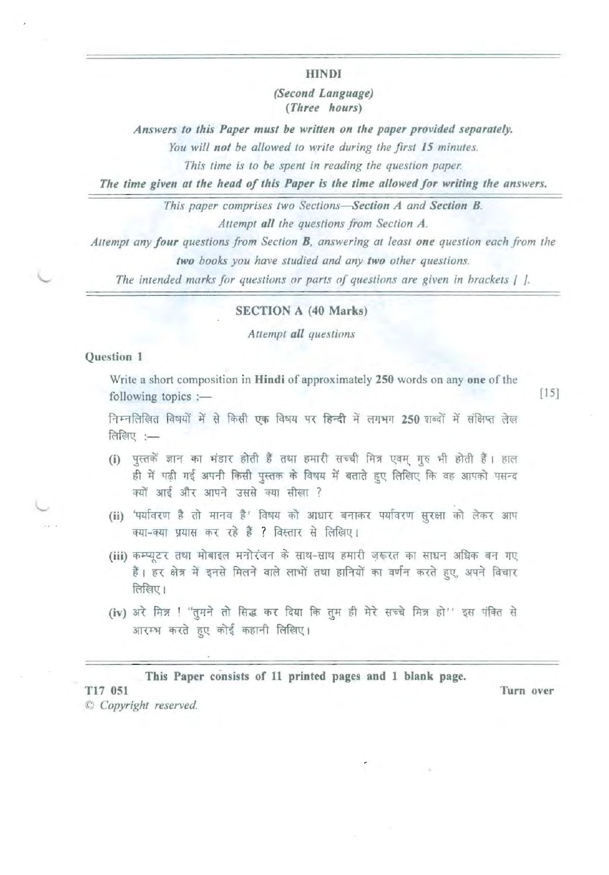**HINDI** 

(Second Language) (Three hours)

Answers to this Paper must be written on the paper provided separately.

You will not be allowed to write during the first 15 minutes.

This time is to be spent in reading the question paper.

The time given at the head of this Paper is the time allowed for writing the answers.

This paper comprises two Sections-Section A and Section B.

Attempt all the questions from Section A.

Attempt any four questions from Section B, answering at least one question each from the

two books you have studied and any two other questions.

The intended marks for questions or parts of questions are given in brackets [1].

#### **SECTION A (40 Marks)**

Attempt all questions

### **Ouestion 1**

Write a short composition in Hindi of approximately 250 words on any one of the following topics :-

 $[15]$ 

निम्नलिखित विषयों में से किसी एक विषय पर हिन्दी में लगभग 250 शब्दों में संक्षिप्त लेख लिखिए :-

- (i) पुस्तकें ज्ञान का भंडार होती हैं तथा हमारी सच्ची मित्र एवम् गुरु भी होती हैं। हाल ही में पढी गई अपनी किसी पुस्तक के विषय में बताते हुए लिखिए कि वह आपको पसन्द क्यों आई और आपने उससे क्या सीखा ?
- (ii) 'पर्यावरण है तो मानव है' विषय को आधार बनाकर पर्यावरण सुरक्षा को लेकर आप क्या-क्या प्रयास कर रहे हैं ? विस्तार से लिखिए।
- (iii) कम्प्यूटर तथा मोबाइल मनोरंजन के साथ-साथ हमारी जरूरत का साधन अधिक बन गए हैं। हर क्षेत्र में इनसे मिलने वाले लाभों तथा हानियों का वर्णन करते हुए, अपने विचार लिखिए।
- (iv) अरे मित्र ! "तुमने तो सिद्ध कर दिया कि तुम ही मेरे सच्चे मित्र हो" इस पंक्ति से आरम्भ करते हुए कोई कहानी लिखिए।

This Paper consists of 11 printed pages and 1 blank page.

Turn over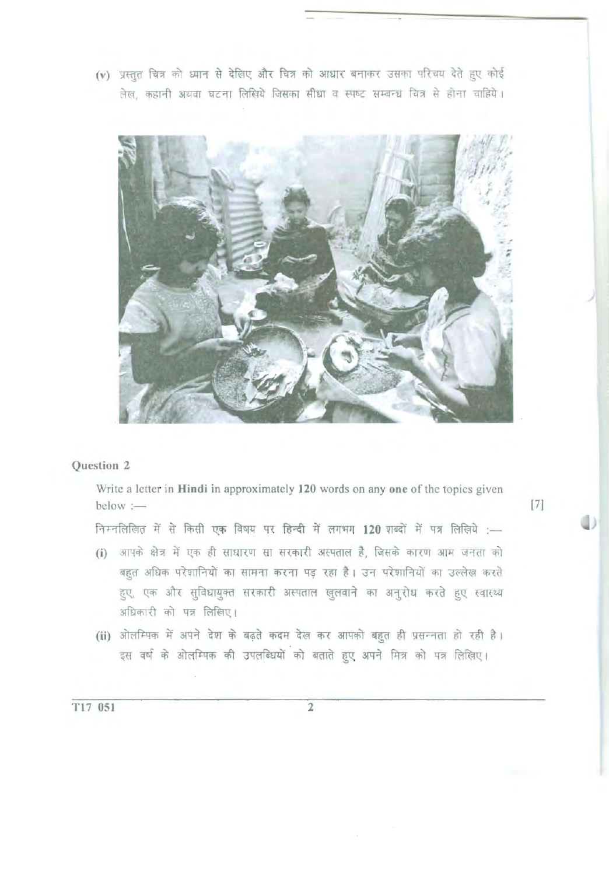(v) प्रस्तुत चित्र को ध्यान से देखिए और चित्र को आधार बनाकर उसका परिचय देते हुए कोई लेख, कहानी अथवा घटना लिखिये जिसका सीधा व स्पष्ट सम्बन्ध चित्र से होना चाहिये।



## Question 2

Write a letter in Hindi in approximately 120 words on any one of the topics given  $below :=$ 

निम्नलिखित में से किसी एक विषय पर हिन्दी में लगभग 120 शब्दों में पत्र लिखिये :-

- (i) आपके क्षेत्र में एक ही साधारण सा सरकारी अस्पताल है, जिसके कारण आम जनता को बहुत अधिक परेशानियों का सामना करना पड़ रहा है। उन परेशानियों का उल्लेख करते हुए, एक और सुविधायुक्त सरकारी अस्पताल खुलवाने का अनुरोध करते हुए स्वास्थ्य अधिकारी को पत्र लिखिए।
- (ii) ओलम्पिक में अपने देश के बढ़ते कदम देख कर आपको बहुत ही प्रसन्नता हो रही है। इस वर्ष के ओलम्पिक की उपलब्धियों को बताते हुए अपने मित्र को पत्र लिखिए।

 $[7]$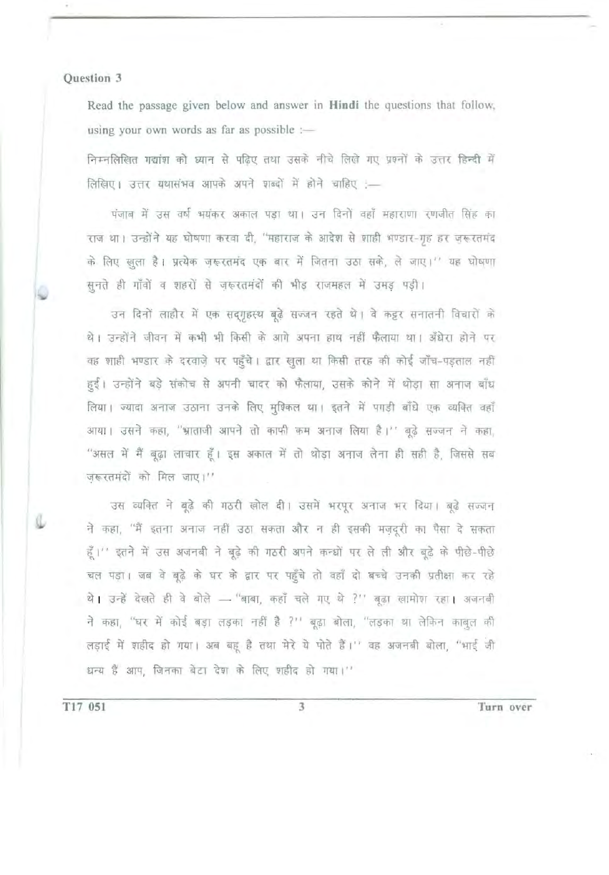Read the passage given below and answer in Hindi the questions that follow, using your own words as far as possible :-

निम्नलिखित गद्यांश को ध्यान से पढ़िए तथा उसके नीचे लिखे गए प्रश्नों के उत्तर हिन्दी में लिखिए। उत्तर यथासंभव आपके अपने शब्दों में होने चाहिए :-

पंजाब में उस वर्ष भयंकर अकाल पड़ा था। उन दिनों वहाँ महाराणा रणजीत सिंह का राज था। उन्होंने यह घोषणा करवा दी, "महाराज के आदेश से शाही भण्डार-गृह हर ज़रूरतमंद के लिए खुला है। प्रत्येक जरूरतमंद एक बार में जितना उठा सके, ले जाए।" यह घोषणा सुनते ही गाँवों व शहरों से ज़रूरतमंदों की भीड़ राजमहल में उमड़ पड़ी।

उन दिनों लाहौर में एक सद्गुहस्थ बूढ़े सज्जन रहते थे। वे कट्टर सनातनी विचारों के थे। उन्होंने जीवन में कभी भी किसी के आगे अपना हाथ नहीं फैलाया था। अँधेरा होने पर वह शाही भण्डार के दरवाज़े पर पहुँचे। द्वार खुला था किसी तरह की कोई जाँच-पड़ताल नहीं हईं। उन्होंने बड़े संकोच से अपनी चादर को फैलाया, उसके कोने में थोड़ा सा अनाज बाँध लिया। ज्यादा अनाज उठाना उनके लिए मुश्किल था। इतने में पगड़ी बाँधे एक व्यक्ति वहाँ आया। उसने कहा, "भ्राताजी आपने तो काफी कम अनाज लिया है।" बूढे सज्जन ने कहा, "असल में मैं बूढ़ा लाचार हूँ। इस अकाल में तो थोड़ा अनाज लेना ही सही है, जिससे सब जरूरतमंदों को मिल जाए।''

उस व्यक्ति ने बूढ़े की गठरी खोल दी। उसमें भरपूर अनाज भर दिया। बूढ़े सज्जन ने कहा, ''मैं इतना अनाज नहीं उठा सकता और न ही इसकी मज़दूरी का पैसा दे सकता हूँ।'' इतने में उस अजनबी ने बूढ़े की गठरी अपने कन्धों पर ले ली और बूढ़े के पीछे-पीछे चल पड़ा। जब वे बूढ़े के घर के द्वार पर पहुँचे तो वहाँ दो बच्चे उनकी प्रतीक्षा कर रहे थे। उन्हें देखते ही वे बोले - "बाबा, कहाँ चले गए थे ?" बूढ़ा खामोश रहा। अजनबी ने कहा, "घर में कोई बड़ा लड़का नहीं है ?" बूढ़ा बोला, "लड़का था लेकिन काबुल की लड़ाई में शहीद हो गया। अब बहू है तथा मेरे ये पोते हैं।'' वह अजनबी बोला, "भाई जी धन्य हैं आप, जिनका बेटा देश के लिए शहीद हो गया।"

T17 051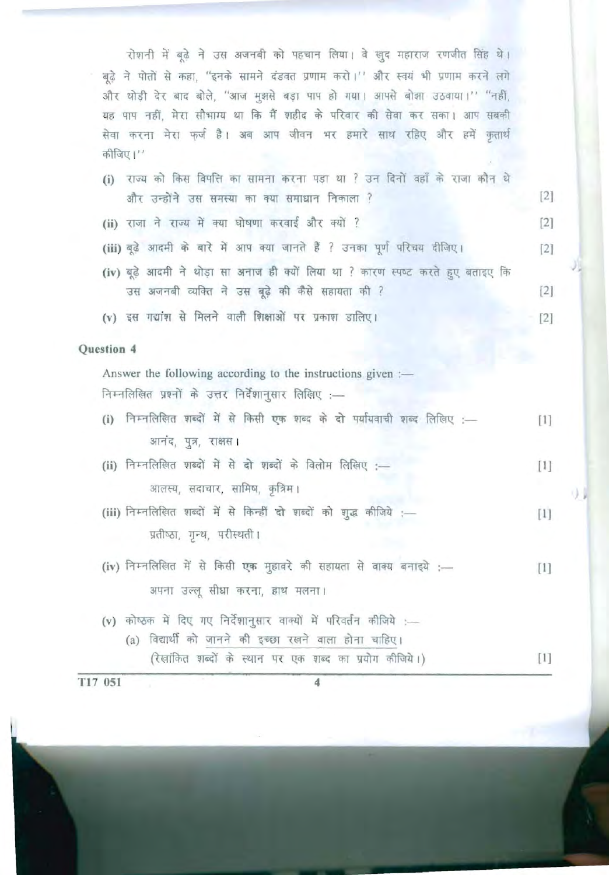रोशनी में बढ़े ने उस अजनबी को पहचान लिया। वे खुद महाराज रणजीत सिंह थे। बूढ़े ने पोतों से कहा, "इनके सामने दंडवत प्रणाम करो।'' और स्वयं भी प्रणाम करने लगे और थोड़ी देर बाद बोले, "आज मुझसे बड़ा पाप हो गया। आपसे बोझा उठवाया।'' "नहीं, यह पाप नहीं, मेरा सौभाग्य था कि मैं शहीद के परिवार की सेवा कर सका। आप सबकी सेवा करना मेरा फर्ज है। अब आप जीवन भर हमारे साथ रहिए और हमें कृतार्थ कीजिए।''

- (i) राज्य को किस विपत्ति का सामना करना पड़ा था ? उन दिनों वहाँ के राजा कौन थे और उन्होंने उस समस्या का क्या समाधान निकाला ?  $[2]$ (ii) राजा ने राज्य में क्या घोषणा करवाई और क्यों ?  $\lceil 2 \rceil$ (iii) बूढ़े आदमी के बारे में आप क्या जानते हैं ? उनका पूर्ण परिचय दीजिए।  $[2]$
- (iv) बूढ़े आदमी ने थोड़ा सा अनाज ही क्यों लिया था ? कारण स्पष्ट करते हुए बताइए कि उस अजनबी व्यक्ति ने उस बूढ़े की कैसे सहायता की ?  $[2]$

 $\left\lceil 2 \right\rceil$ 

 $[1]$ 

(v) इस गद्यांश से मिलने वाली शिक्षाओं पर प्रकाश डालिए।

## Question 4

Answer the following according to the instructions given :-निम्नलिखित प्रश्नों के उत्तर निर्देशानुसार लिखिए :-

- (i) निम्नलिखित शब्दों में से किसी एक शब्द के दो पर्यायवाची शब्द लिखिए :- $[1]$ आनंद, पुत्र, राक्षस।
- (ii) निम्नलिखित शब्दों में से दो शब्दों के विलोम लिखिए :- $[1]$ आलस्य, सदाचार, सामिष, कृत्रिम।
- (iii) निम्नलिखित शब्दों में से किन्हीं दो शब्दों को शुद्ध कीजिये :- $[1]$ प्रतीष्ठा, गुन्थ, परीस्थती।
- (iv) निम्नलिखित में से किसी एक मुहावरे की सहायता से वाक्य बनाइये :- $[1]$ अपना उल्लू सीधा करना, हाथ मलना।
- (v) कोष्ठक में दिए गए निर्देशानुसार वाक्यों में परिवर्तन कीजिये :-(a) विद्यार्थी को जानने की इच्छा रखने वाला होना चाहिए। (रेखांकित शब्दों के स्थान पर एक शब्द का प्रयोग कीजिये।)

T17 051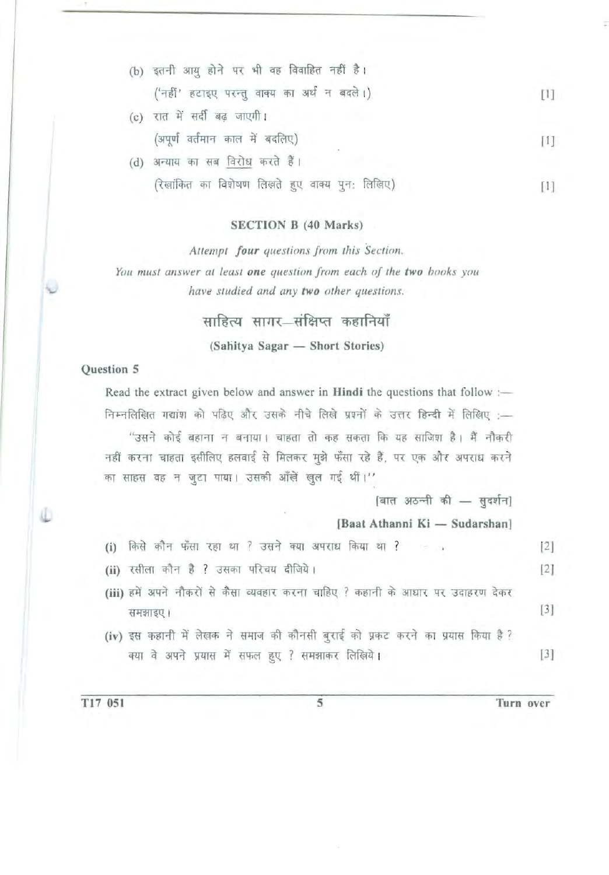| (b) | इतनी आयु होने पर भी वह विवाहित नहीं है।     |              |
|-----|---------------------------------------------|--------------|
|     | ('नहीं' हटाइए परन्तु वाक्य का अर्थ न बदले।) | $\mathbb{H}$ |
|     | (c) रात में सर्दी बढ़ जाएगी।                |              |
|     | (अपूर्ण वर्तमान काल में बदलिए)              |              |
| (d) | अन्याय का सब विरोध करते हैं।                |              |

(रेखांकित का विशेषण लिखते हुए वाक्य पुन: लिखिए) बालिए का स्थान का स्थान है।

## SECTION B (40 Marks)

Attempt four questions from this Section. You must answer at least one question from each of the two hooks you *have studied and any two other questions.* 

# साहित्य सागर संक्षिप्त कहानियाँ

(Sahitya Sagar - Short Stories)

#### Question 5

Read the extract given below and answer in Hindi the questions that follow :-निम्नलिखित गद्यांश को पढिए और उसके नीचे लिखे प्रश्नों के उत्तर हिन्दी में लिखिए :-''उसने कोई बहाना न बनाया। चाहता तो कह सकता कि यह साजिश है। मैं नौकरी नहीं करना चाहता इसीलिए हलवाई से मिलकर मुझे फँसा रहे हैं, पर एक और अपराध करने का साहस वह न जुटा पाया। उसकी आँखें खुल गई थीं।"  $[$ बात अठन्नी की - सुदर्शन] [Baat Athanni Ki - Sudarshan] (i) ~ ~1 W WT m ? m q:m 3Nntf m ? 12]  $(i)$  रसीला कौन है ? उसका परिचय दीजिये।  $[2]$ (iii) हमें अपने नौकरों से कैसा व्यवहार करना चाहिए ? कहानी के आधार पर उदाहरण देकर

- समझाइए ।  $[3]$ (iv) इस कहानी में लेखक ने समाज की कौनसी बुराई को प्रकट करने का प्रयास किया है ?
	- क्या वे अपने प्रयास में सफल हुए ? समझाकर लिखिये। [3]

T17 051 5 Turn over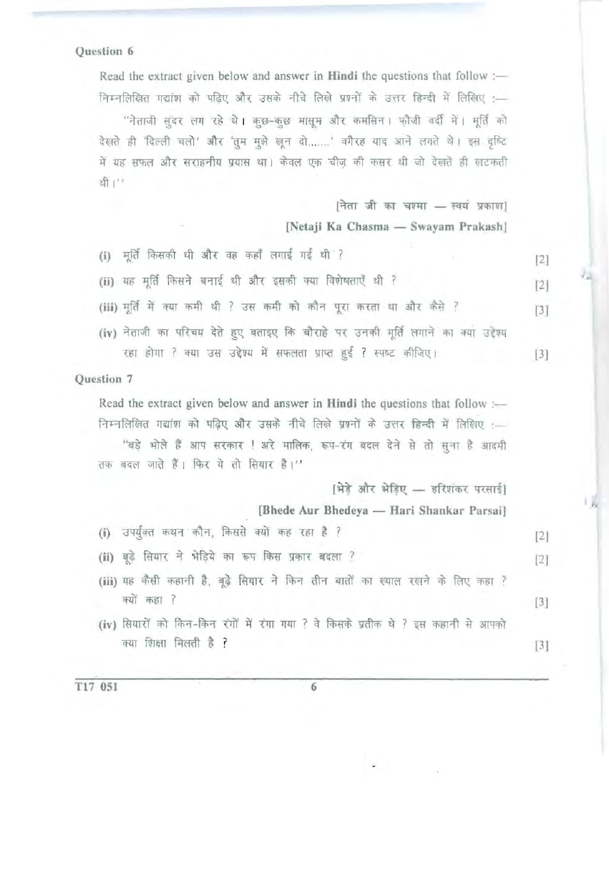Read the extract given below and answer in **Hindi** the questions that follow :— निम्नलिखित गद्यांश को पढिए और उसके नीचे लिखे प्रश्नों के उत्तर हिन्दी में लिखिए :-

"नेताजी संदर लग रहे थे। कुछ-कुछ मासूम और कमसिन। फौजी वर्दी में। मूर्ति को देखते ही 'दिल्ली चलो' और 'तुम मुझे खून दो.......' बगैरह याद आने लगते थे। इस दृष्टि में यह सफल और सराहनीय प्रयास था। केवल एक चीज की कसर थी जो देखते ही खटकती  $2f_1$  "

> $[$ नेता जी का चश्मा - स्वयं प्रकाश] [Netaji Ka Chasma - Swayam Prakash]

> > V.V.

 $\mathbb{F}_p$ 

- (i) मूर्ति किसकी थी और वह कहाँ लगाई गई थी ? 13 121 (ii) यह मूर्ति किसने बनाई थी और इसकी क्या विशेषताएँ थी ? [2] (iii) मूर्ति में क्या कमी थी ? उस कमी को कौन पूरा करता था और कैसे ? [3]
- (iv) नेताजी का परिचय देते हुए बताइए कि चौराहे पर उनकी मूर्ति लगाने का क्या उद्देश्य रहा होगा ? क्या उस उद्देश्य में सफलता प्राप्त हुई ? स्पष्ट कीजिए। [3]

Question 7

Read the extract given below and answer in Hindi the questions that follow :-निम्नलिखित गद्यांश को पढ़िए और उसके नीचे लिखे प्रश्नों के उत्तर हिन्दी में लिखिए :— ''बड़े भोले हैं आप सरकार ! अरे मालिक, रूप-रंग बदल देने से तो सुना है आदमी तक बदल जाते हैं। फिर ये तो सियार है।''

[भेडे और भेडिए - हरिशंकर परसाई]

[Bhede Aur Bhedeya - Hari Shankar Parsai]

- (i) उपर्युक्त कथन कौन, किससे क्यों कह रहा है ? [2]
- (ii) बूढ़े सियार ने भेड़िये का रूप किस प्रकार बदला ? बिरा का स्थान कर है [2]
- (iii) यह कैसी कहानी है, बूढ़े सियार ने किन तीन बातों का ख्याल रखने के लिए कहा ? क्यों कहा ? . The contract of the contract of  $[3]$
- (iv) सियारों को किन-किन रंगों में रंगा गया ? वे किसके प्रतीक थे ? इस कहानी से आपको क्या शिक्षा मिलती है ? [3]

T17 051 6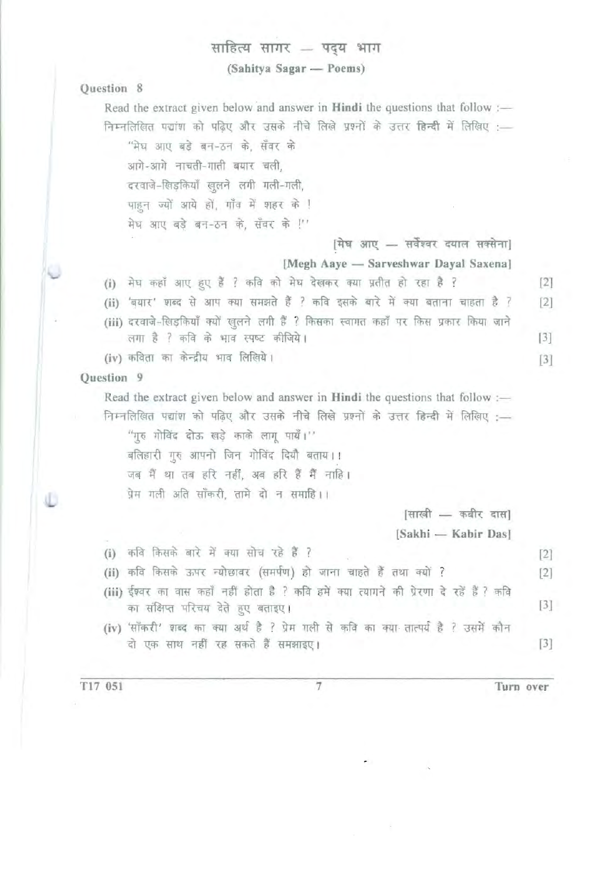# साहित्य सागर – पदय भाग

(Sahitya Sagar — Poems)

## Question 8

Read the extract given below and answer in Hindi the questions that follow :-निम्नलिखित पद्यांश को पढिए और उसके नीचे लिखे प्रश्नों के उत्तर **हिन्दी** में लिखिए :— "मेघ आए बड़े बन-ठन के. सँवर के आगे-आगे नाचती-गाती बयार चली, दरवाजे-खिडकियाँ खुलने लगी गली-गली, पाहुन ज्यों आये हों, गाँव में शहर के ! मेघ आए बड़े बन-ठन के, सँवर के !'' [मेघ आए - सर्वेश्वर दयाल सक्सेना] [Megh Aaye - Sarveshwar Dayal Saxena] (i) मेघ कहाँ आए हुए हैं ? कवि को मेघ देखकर क्या प्रतीत हो रहा है ? [2] (ii) 'बयार' शब्द से आप क्या समझते हैं ? कवि इसके बारे में क्या बताना चाहता है ? [2] (iii) दरवाजे-खिड़कियाँ क्यों खुलने लगी हैं ? किसका स्वागत कहाँ पर किस प्रकार किया जाने लगा है ? कवि के भाव स्पष्ट कीजिये।  $[3]$  $(iv)$  कविता का केन्द्रीय भाव लिखिये। Question 9 Read the extract given below and answer in **Hindi** the questions that follow :-निम्नलिखित पद्यांश को पढ़िए और उसके नीचे लिखे प्रश्नों के उत्तर हिन्दी में लिखिए :-.<br>"गुरु गोविंद दोऊ खड़े काके लागू पायँ।" बलिहारी गुरु आपनो जिन गोविंद दियौ बताय।। जब मैं था तब हरि नहीं, अब हरि हैं मैं नाहि। प्रेम गली अति सॉकरी, तामे दो न समाहि।।  $[$ साखी — कबीर दास] [Sakhi - Kabir Das] (i) कवि किसके बारे में क्या सोच रहे हैं ? <u>[2]</u> (ii) कवि किसके ऊपर न्योछावर (समर्पण) हो जाना चाहते हैं तथा क्यों ? [2] (iii) ईश्वर का वास कहाँ नहीं होता है ? कवि हमें क्या त्यागने की प्रेरणा दे रहें हैं ? कवि का संक्षिप्त परिचय देते हुए बताइए।  $[3]$ (iv) 'सॉकरी' शब्द का क्या अर्थ है ? प्रेम गली से कवि का क्या तात्पर्य है ? उसमें कौन  $\vec{a}$  एक साथ नहीं रह सकते हैं समझाइए।  $[3]$ 

T17 051 7 Turn over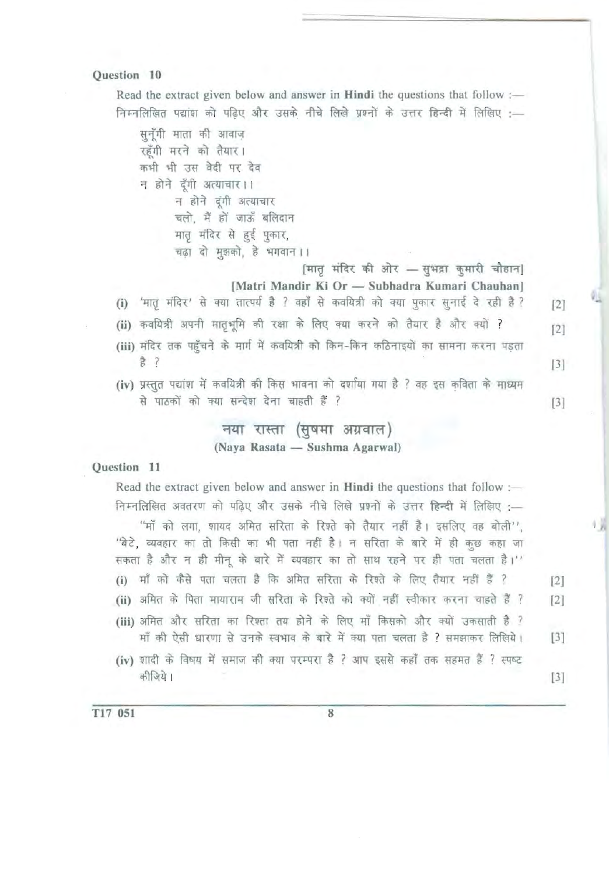Read the extract given below and answer in Hindi the questions that follow :-निम्नलिखित पद्यांश को पढ़िए और उसके नीचे लिखे प्रश्नों के उत्तर हिन्दी में लिखिए :--

सनँगी माता की आवाज रहँगी मरने को तैयार। कभी भी उस वेदी पर देव न होने देंगी अत्याचार।। न होने दूंगी अत्याचार चलो, मैं हों जाऊँ बलिदान मातृ मंदिर से हुई पुकार, चढ़ा दो मुझको, हे भगवान ।।

[मातृ मंदिर की ओर - सुभद्रा कुमारी चौहान] [Matri Mandir Ki Or - Subhadra Kumari Chauhan]

- (i) 'मातृ मंदिर' से क्या तात्पर्य है ? वहाँ से कवयित्री को क्या पुकार सुनाई दे रही है ? [2]
- (ii) कवयित्री अपनी मातृभूमि की रक्षा के लिए क्या करने को तैयार है और क्यों ? [2]
- (iii) मंदिर तक पहुँचने के मार्ग में कवयित्री को किन-किन कठिनाइयों का सामना करना पड़ता  $\frac{1}{6}$  ? [3]
- (iv) प्रस्तुत पद्यांश में कवयित्री की किस भावना को दर्शाया गया है ? वह इस कविता के माध्यम से पाठकों को क्या सन्देश देना चाहती हैं ? बाहर को साथ करने हैं । स्वास्थ्य को साथ करने हैं । स्वास्थ्य को साथ

# नया रास्ता (सुषमा अग्रवाल) (Naya Rasata - Sushma Agarwal)

#### Question 11

Read the extract given below and answer in Hindi the questions that follow :-निम्नलिखित अवतरण को पढ़िए और उसके नीचे लिखे प्रश्नों के उत्तर हिन्दी में लिखिए :-''माँ को लगा, शायद अमित सरिता के रिश्ते को तैयार नहीं है। इसलिए वह बोली'', 'बेटे, व्यवहार का तो किसी का भी पता नहीं है। न सरिता के बारे में ही कुछ कहा जा सकता है और न ही मीनू के बारे में व्यवहार का तो साथ रहने पर ही पता चलता है।'' (i) माँ को कैसे पता चलता है कि अमित सरिता के रिश्ते के लिए तैयार नहीं हैं ? [2] (ii) अमित के पिता मायाराम जी सरिता के रिश्ते को क्यों नहीं स्वीकार करना चाहते हैं ? [2] (iii) अमित और सरिता का रिश्ता तय होने के लिए माँ किसको और क्यों उकसाती है ?  $m$  की ऐसी धारणा से उनके स्वभाव के बारे में क्या पता चलता है ? समझाकर लिखिये। [3]

(iv) शादी के विषय में समाज की क्या परम्परा है ? आप इससे कहाँ तक सहमत हैं ? स्पष्ट  $[3]$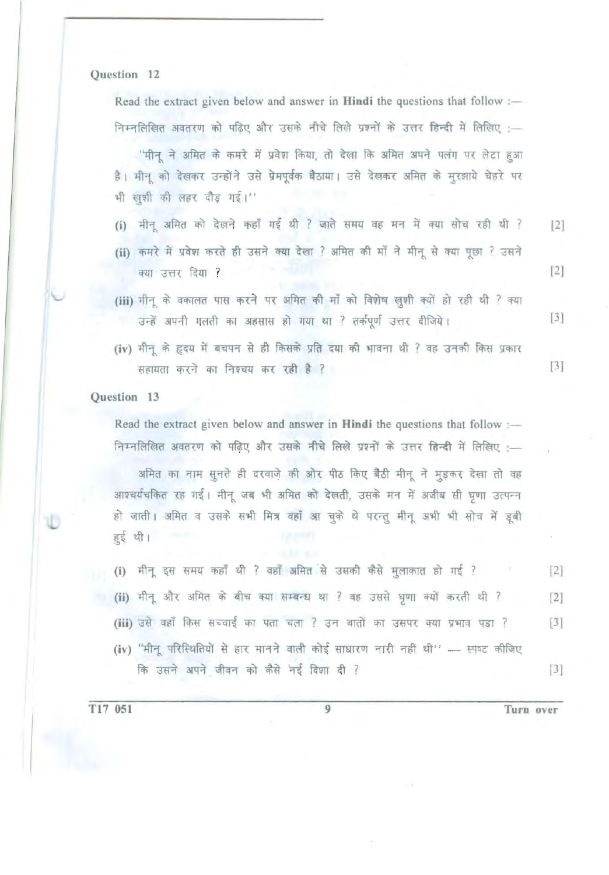Read the extract given below and answer in Hindi the questions that follow : निम्नलिखित अवतरण को पढिए और उसके नीचे लिखे प्रश्नों के उत्तर हिन्दी में लिखिए :-

''मीनू ने अमित के कमरे में प्रवेश किया, तो देखा कि अमित अपने पलंग पर लेटा हुआ है। मीनू को देखकर उन्होंने उसे प्रेमपूर्वक बैठाया। उसे देखकर अमित के मुरझाये चेहरे पर भी ख़शी की लहर दौड़ गई।''

- (i) मीन अमित को देखने कहाँ गई थी ? जाते समय वह मन में क्या सोच रही थी ? [2]
- (ii) कमरे में प्रवेश करते ही उसने क्या देखा ? अमित की माँ ने मीनू से क्या पूछा ? उसने  $\frac{1}{12}$   $\frac{1}{12}$   $\frac{1}{12}$   $\frac{1}{12}$   $\frac{1}{12}$   $\frac{1}{12}$   $\frac{1}{12}$   $\frac{1}{12}$   $\frac{1}{12}$   $\frac{1}{12}$   $\frac{1}{12}$   $\frac{1}{12}$   $\frac{1}{12}$   $\frac{1}{12}$   $\frac{1}{12}$   $\frac{1}{12}$   $\frac{1}{12}$   $\frac{1}{12}$   $\frac{1}{12}$   $\frac{1}{12}$
- (iii) मीन के वकालत पास करने पर अमित की माँ को विशेष ख़शी क्यों हो रही थी ? क्या उन्हें अपनी गलती का अहसास हो गया था ? तर्कपूर्ण उत्तर दीजिये।  $[3]$
- (iv) मीनू के हृदय में बचपन से ही किसके प्रति दया की भावना थी ? वह उनकी किस प्रकार सहायता करने का निश्चय कर रही है ?

#### Question 13

Read the extract given below and answer in **Hindi** the questions that follow :— निम्नलिखित अवतरण को पढ़िए और उसके नीचे लिखे प्रश्नों के उत्तर हिन्दी में लिखिए :-

अमित का नाम सूनते ही दरवाजे की ओर पीठ किए बैठी मीनू ने मुड़कर देखा तो वह आश्चर्यचकित रह गई। मीनू जब भी अमित को देखती, उसके मन में अजीब सी घृणा उत्पन्न हो जाती। अमित व उसके सभी मित्र वहाँ आ चुके थे परन्तु मीनू अभी भी सोच में डूबी हुई थी।

(i) मीनू इस समय कहाँ थी ? वहाँ अमित से उसकी कैसे मुलाकात हो गई ? [2] (ii) मीनू और अमित के बीच क्या सम्बन्ध था ? वह उससे घृणा क्यों करती थी ? [2] (iii) उसे वहाँ किस सच्चाई का पता चला ? उन बातों का उसपर क्या प्रभाव पड़ा ? [3] (iv) "मीनू परिस्थितियों से हार मानने वाली कोई साधारण नारी नहीं थी" - स्पष्ट कीजिए कि उसने अपने जीवन को कैसे नई दिशा दी ? बिकार को बात है कि साथ कर कर कर किया है कि अपने कार्य कर कर किया है कि

 $[3]$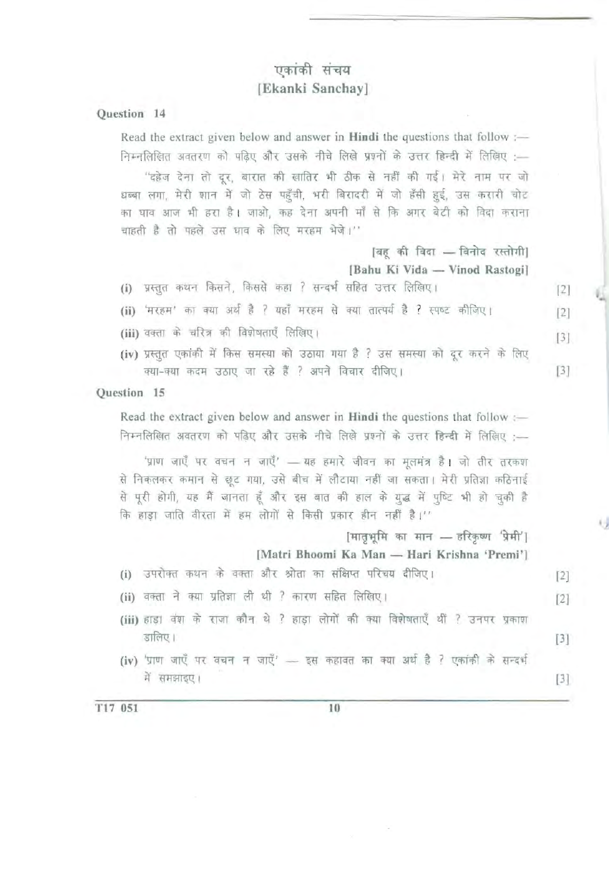# एकांकी संचय [Ekanki Sanchay]

Question 14

Read the extract given below and answer in **Hindi** the questions that follow :-निम्नलिखित अवतरण को पढिए और उसके नीचे लिखे प्रश्नों के उत्तर हिन्दी में लिखिए :-''दहेज देना तो दर, बारात की खातिर भी ठीक से नहीं की गई। मेरे नाम पर जो धब्बा लगा, मेरी शान में जो ठेस पहुँची, भरी बिरादरी में जो हँसी हुई, उस करारी चोट का घाव आज भी हरा है। जाओ, कह देना अपनी माँ से कि अगर बेटी को विदा कराना चाहती है तो पहले उस घाव के लिए मरहम भेजे।'' |बह की विदा - विनोद रस्तोगी| [Bahu Ki Vida - Vinod Rastogi] (i) प्रस्तुत कथन किसने, किससे कहा ? सन्दर्भ सहित उत्तर लिखिए। [2]

(ii) 'मरहम' का क्या अर्थ है ? यहाँ मरहम से क्या तात्पर्य है ? स्पष्ट कीजिए। [2]

- (iii) वक्ता के चरित्र की विशेषताएँ लिखिए।  $[3]$
- (iv) प्रस्तुत एकांकी में किस समस्या को उठाया गया है ? उस समस्या को दूर करने के लिए क्या-क्या कदम उठाए जा रहे हैं ? अपने विचार दीजिए।

#### Question 15

Read the extract given below and answer in Hindi the questions that follow :-निम्नलिखित अवतरण को पढिए और उसके नीचे लिखे प्रश्नों के उत्तर हिन्दी में लिखिए :--

'प्राण जाएँ पर वचन न जाएँ' - यह हमारे जीवन का मुलमंत्र है। जो तीर तरकश से निकलकर कमान से छूट गया, उसे बीच में लौटाया नहीं जा सकता। मेरी प्रतिज्ञा कठिनाई से पूरी होगी, यह मैं जानता हूँ और इस बात की हाल के युद्ध में पुष्टि भी हो चुकी है कि हाड़ा जाति वीरता में हम लोगों से किसी प्रकार हीन नहीं है।''

 $[$ मातभूमि का मान - हरिकृष्ण 'प्रेमी'  $|$ 

[Matri Bhoomi Ka Man - Hari Krishna 'Premi']

- (i) उपरोक्त कथन के वक्ता और श्रोता का संक्षिप्त परिचय दीजिए। [2]
- (ii) वक्ता ने क्या प्रतिज्ञा ली थी ? कारण सहित लिखिए। <a>
- (iii) हाडा वंश के राजा कौन थे ? हाडा लोगों की क्या विशेषताएँ थीं ? उनपर प्रकाश  $[3]$
- (iv) 'प्राण जाएँ पर वचन न जाएँ'  $-$  इस कहावत का क्या अर्थ है ? एकांकी के सन्दर्भ  $\widetilde{H}$  समझाइए।  $[3]$

 $T17$  051  $10$